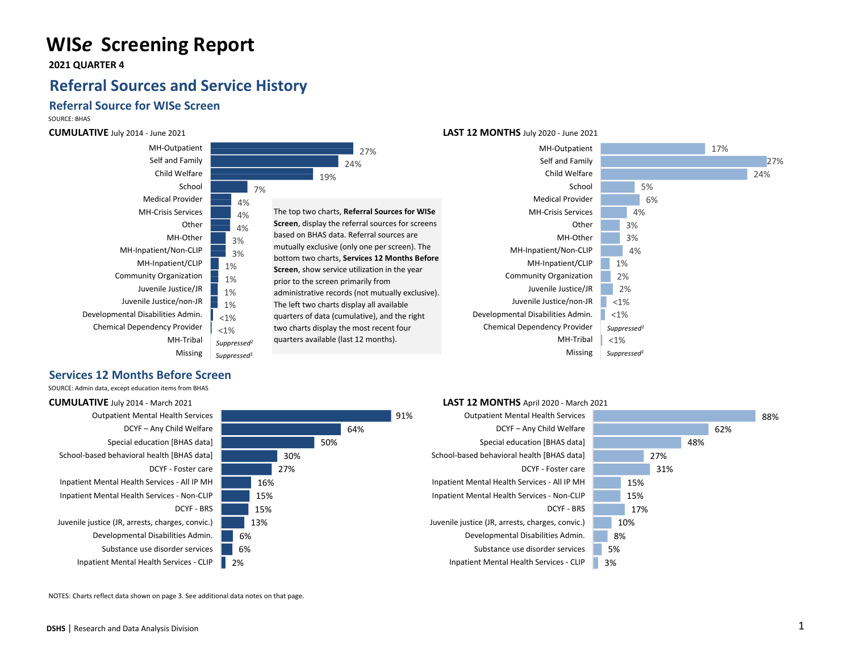# **WIS***e* **Screening Report**

 **2021 QUARTER 4**

## **Referral Sources and Service History**

### **Referral Source for WISe Screen**

SOURCE: BHAS

#### **CUMULATIVE** July 2014 - June 2021



#### **LAST 12 MONTHS** July 2020 - June 2021



### **Services 12 Months Before Screen**

SOURCE: Admin data, except education items from BHAS



NOTES: Charts reflect data shown on page 3. See additional data notes on that page.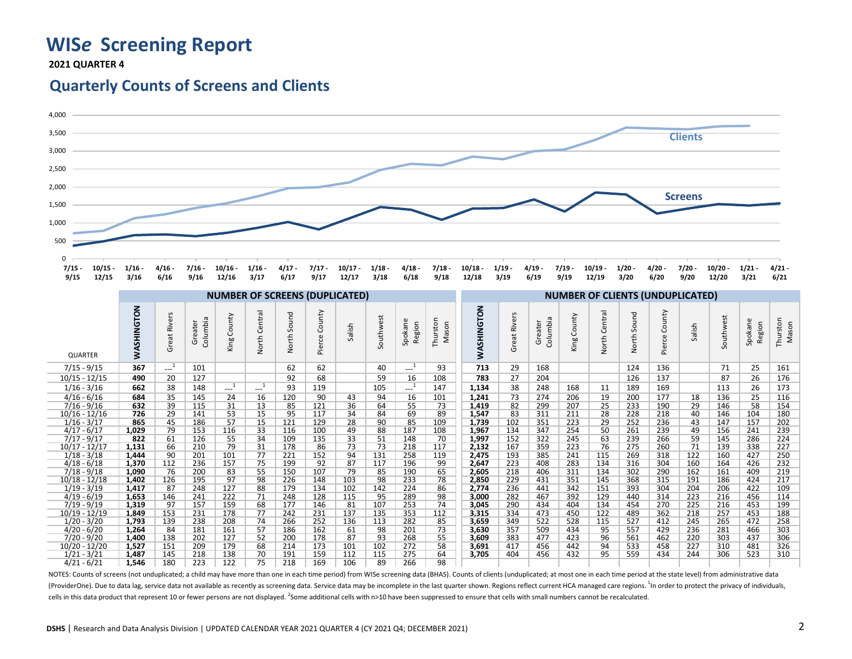## **WIS***e* **Screening Report**

 **2021 QUARTER 4**

### **Quarterly Counts of Screens and Clients**



NOTES: Counts of screens (not unduplicated; a child may have more than one in each time period) from WISe screening data (BHAS). Counts of clients (unduplicated; at most one in each time period at the state level) from adm (ProviderOne). Due to data lag, service data not available as recently as screening data. Service data may be incomplete in the last quarter shown. Regions reflect current HCA managed care regions.<sup>1</sup> n order to protect th cells in this data product that represent 10 or fewer persons are not displayed. <sup>2</sup>Some additional cells with n>10 have been suppressed to ensure that cells with small numbers cannot be recalculated.

10/17 - 12/17 **1,131** 66 210 79 31 178 86 73 73 218 117 **2,132** 167 359 223 76 275 260 71 139 338 227 1/18 - 3/18 **1,444** 90 201 101 77 221 152 94 131 258 119 **2,475** 193 385 241 115 269 318 122 160 427 250 4/18 - 6/18 **1,370** 112 236 157 75 199 92 87 117 196 99 **2,647** 223 408 283 134 316 304 160 164 426 232 7/18 - 9/18 **1,090** 76 200 83 55 150 107 79 85 190 65 **2,605** 218 406 311 134 302 290 162 161 409 219 10/18 - 12/18 **1,402** 126 195 97 98 226 148 103 98 233 78 **2,850** 229 431 351 145 368 315 191 186 424 217 1/19 - 3/19 **1,417** 87 248 127 88 179 134 102 142 224 86 **2,774** 236 441 342 151 393 304 204 206 422 109 4/19 - 6/19 **1,653** 146 241 222 71 248 128 115 95 289 98 **3,000** 282 467 392 129 440 314 223 216 456 114 7/19 - 9/19 **1,319** 97 157 159 68 177 146 81 107 253 74 **3,045** 290 434 404 134 454 270 225 216 453 199 10/19 - 12/19 **1,849** 153 231 178 77 242 231 137 135 353 112 **3,315** 334 473 450 122 489 362 218 257 453 188 1/20 - 3/20 **1,793** 139 238 208 74 266 252 136 113 282 85 **3,659** 349 522 528 115 527 412 245 265 472 258 4/20 - 6/20 **1,264** 84 181 161 57 186 162 61 98 201 73 **3,630** 357 509 434 95 557 429 236 281 466 303 7/20 - 9/20 **1,400** 138 202 127 52 200 178 87 93 268 55 **3,609** 383 477 423 96 561 462 220 303 437 306 10/20 - 12/20 **1,527** 151 209 179 68 214 173 101 102 272 58 **3,691** 417 456 442 94 533 458 227 310 481 326 1/21 - 3/21 **1,487** 145 218 138 70 191 159 112 115 275 64 **3,705** 404 456 432 95 559 434 244 306 523 310

4/21 - 6/21 **1,546** 180 223 122 75 218 169 106 89 266 98